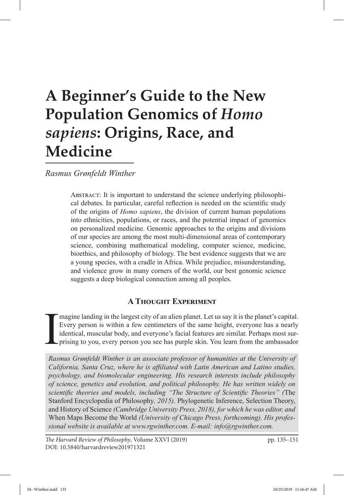# **A Beginner's Guide to the New Population Genomics of** *Homo sapiens***: Origins, Race, and Medicine**

*Rasmus Grønfeldt Winther*

ABSTRACT: It is important to understand the science underlying philosophical debates. In particular, careful reflection is needed on the scientific study of the origins of *Homo sapiens*, the division of current human populations into ethnicities, populations, or races, and the potential impact of genomics on personalized medicine. Genomic approaches to the origins and divisions of our species are among the most multi-dimensional areas of contemporary science, combining mathematical modeling, computer science, medicine, bioethics, and philosophy of biology. The best evidence suggests that we are a young species, with a cradle in Africa. While prejudice, misunderstanding, and violence grow in many corners of the world, our best genomic science suggests a deep biological connection among all peoples.

# **A Thought Experiment**

I magine landing in the largest city of an alien planet. Let us say it is the planet's capital. Every person is within a few centimeters of the same height, everyone has a nearly identical, muscular body, and everyone's facial features are similar. Perhaps most surprising to you, every person you see has purple skin. You learn from the ambassador

*Rasmus Grønfeldt Winther is an associate professor of humanities at the University of California, Santa Cruz, where he is affiliated with Latin American and Latino studies, psychology, and biomolecular engineering. His research interests include philosophy of science, genetics and evolution, and political philosophy. He has written widely on scientific theories and models, including "The Structure of Scientific Theories" (*The Stanford Encyclopedia of Philosophy*, 2015),* Phylogenetic Inference, Selection Theory, and History of Science *(Cambridge University Press, 2018), for which he was editor, and*  When Maps Become the World *(University of Chicago Press, forthcoming). His professional website is available at www.rgwinther.com. E-mail: info@rgwinther.com.*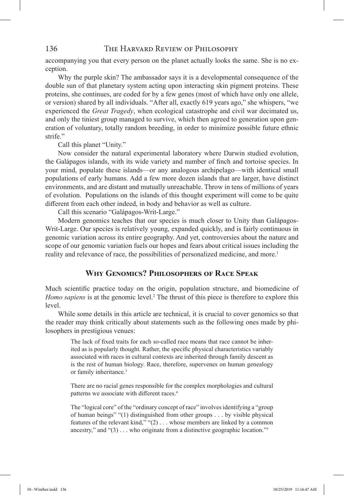accompanying you that every person on the planet actually looks the same. She is no exception.

Why the purple skin? The ambassador says it is a developmental consequence of the double sun of that planetary system acting upon interacting skin pigment proteins. These proteins, she continues, are coded for by a few genes (most of which have only one allele, or version) shared by all individuals. "After all, exactly 619 years ago," she whispers, "we experienced the *Great Tragedy*, when ecological catastrophe and civil war decimated us, and only the tiniest group managed to survive, which then agreed to generation upon generation of voluntary, totally random breeding, in order to minimize possible future ethnic strife."

Call this planet "Unity."

Now consider the natural experimental laboratory where Darwin studied evolution, the Galápagos islands, with its wide variety and number of finch and tortoise species. In your mind, populate these islands—or any analogous archipelago—with identical small populations of early humans. Add a few more dozen islands that are larger, have distinct environments, and are distant and mutually unreachable. Throw in tens of millions of years of evolution. Populations on the islands of this thought experiment will come to be quite different from each other indeed, in body and behavior as well as culture.

Call this scenario "Galápagos-Writ-Large."

Modern genomics teaches that our species is much closer to Unity than Galápagos-Writ-Large. Our species is relatively young, expanded quickly, and is fairly continuous in genomic variation across its entire geography. And yet, controversies about the nature and scope of our genomic variation fuels our hopes and fears about critical issues including the reality and relevance of race, the possibilities of personalized medicine, and more.1

# **Why Genomics? Philosophers of Race Speak**

Much scientific practice today on the origin, population structure, and biomedicine of Homo sapiens is at the genomic level.<sup>2</sup> The thrust of this piece is therefore to explore this level.

While some details in this article are technical, it is crucial to cover genomics so that the reader may think critically about statements such as the following ones made by philosophers in prestigious venues:

The lack of fixed traits for each so-called race means that race cannot be inherited as is popularly thought. Rather, the specific physical characteristics variably associated with races in cultural contexts are inherited through family descent as is the rest of human biology. Race, therefore, supervenes on human genealogy or family inheritance.<sup>3</sup>

There are no racial genes responsible for the complex morphologies and cultural patterns we associate with different races.<sup>4</sup>

The "logical core" of the "ordinary concept of race" involves identifying a "group of human beings" "(1) distinguished from other groups . . . by visible physical features of the relevant kind," "(2) . . . whose members are linked by a common ancestry," and " $(3)$ ... who originate from a distinctive geographic location."<sup>5</sup>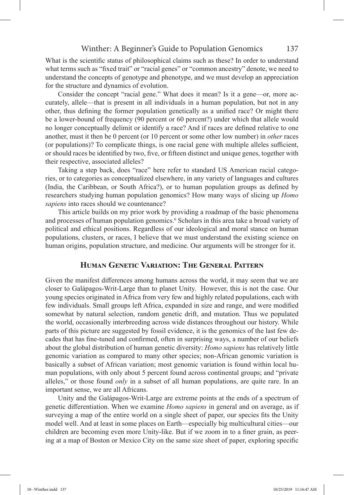#### Winther: A Beginner's Guide to Population Genomics 137

What is the scientific status of philosophical claims such as these? In order to understand what terms such as "fixed trait" or "racial genes" or "common ancestry" denote, we need to understand the concepts of genotype and phenotype, and we must develop an appreciation for the structure and dynamics of evolution.

Consider the concept "racial gene." What does it mean? Is it a gene—or, more accurately, allele—that is present in all individuals in a human population, but not in any other, thus defining the former population genetically as a unified race? Or might there be a lower-bound of frequency (90 percent or 60 percent?) under which that allele would no longer conceptually delimit or identify a race? And if races are defined relative to one another, must it then be 0 percent (or 10 percent or some other low number) in *other* races (or populations)? To complicate things, is one racial gene with multiple alleles sufficient, or should races be identified by two, five, or fifteen distinct and unique genes, together with their respective, associated alleles?

Taking a step back, does "race" here refer to standard US American racial categories, or to categories as conceptualized elsewhere, in any variety of languages and cultures (India, the Caribbean, or South Africa?), or to human population groups as defined by researchers studying human population genomics? How many ways of slicing up *Homo sapiens* into races should we countenance?

This article builds on my prior work by providing a roadmap of the basic phenomena and processes of human population genomics.<sup>6</sup> Scholars in this area take a broad variety of political and ethical positions. Regardless of our ideological and moral stance on human populations, clusters, or races, I believe that we must understand the existing science on human origins, population structure, and medicine. Our arguments will be stronger for it.

#### **Human Genetic Variation: The General Pattern**

Given the manifest differences among humans across the world, it may seem that we are closer to Galápagos-Writ-Large than to planet Unity. However, this is not the case. Our young species originated in Africa from very few and highly related populations, each with few individuals. Small groups left Africa, expanded in size and range, and were modified somewhat by natural selection, random genetic drift, and mutation. Thus we populated the world, occasionally interbreeding across wide distances throughout our history. While parts of this picture are suggested by fossil evidence, it is the genomics of the last few decades that has fine-tuned and confirmed, often in surprising ways, a number of our beliefs about the global distribution of human genetic diversity: *Homo sapiens* has relatively little genomic variation as compared to many other species; non-African genomic variation is basically a subset of African variation; most genomic variation is found within local human populations, with only about 5 percent found across continental groups; and "private alleles," or those found *only* in a subset of all human populations, are quite rare. In an important sense, we are all Africans.

Unity and the Galápagos-Writ-Large are extreme points at the ends of a spectrum of genetic differentiation. When we examine *Homo sapiens* in general and on average, as if surveying a map of the entire world on a single sheet of paper, our species fits the Unity model well. And at least in some places on Earth—especially big multicultural cities—our children are becoming even more Unity-like. But if we zoom in to a finer grain, as peering at a map of Boston or Mexico City on the same size sheet of paper, exploring specific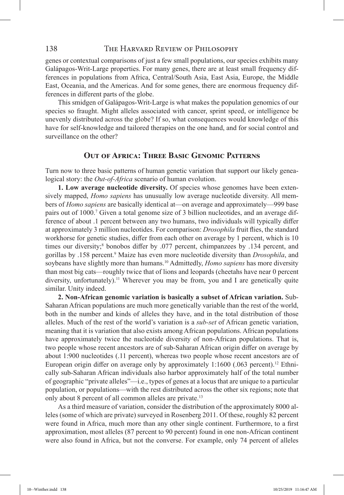genes or contextual comparisons of just a few small populations, our species exhibits many Galápagos-Writ-Large properties. For many genes, there are at least small frequency differences in populations from Africa, Central/South Asia, East Asia, Europe, the Middle East, Oceania, and the Americas. And for some genes, there are enormous frequency differences in different parts of the globe.

This smidgen of Galápagos-Writ-Large is what makes the population genomics of our species so fraught. Might alleles associated with cancer, sprint speed, or intelligence be unevenly distributed across the globe? If so, what consequences would knowledge of this have for self-knowledge and tailored therapies on the one hand, and for social control and surveillance on the other?

#### **Out of Africa: Three Basic Genomic Patterns**

Turn now to three basic patterns of human genetic variation that support our likely genealogical story: the *Out-of-Africa* scenario of human evolution.

**1. Low average nucleotide diversity.** Of species whose genomes have been extensively mapped, *Homo sapiens* has unusually low average nucleotide diversity. All members of *Homo sapiens* are basically identical at—on average and approximately—999 base pairs out of 1000.<sup>7</sup> Given a total genome size of 3 billion nucleotides, and an average difference of about .1 percent between any two humans, two individuals will typically differ at approximately 3 million nucleotides. For comparison: *Drosophila* fruit flies, the standard workhorse for genetic studies, differ from each other on average by 1 percent, which is 10 times our diversity;<sup>8</sup> bonobos differ by .077 percent, chimpanzees by .134 percent, and gorillas by .158 percent.9 Maize has even more nucleotide diversity than *Drosophila*, and soybeans have slightly more than humans.10 Admittedly, *Homo sapiens* has more diversity than most big cats—roughly twice that of lions and leopards (cheetahs have near 0 percent diversity, unfortunately).<sup>11</sup> Wherever you may be from, you and I are genetically quite similar. Unity indeed.

**2. Non-African genomic variation is basically a subset of African variation.** Sub-Saharan African populations are much more genetically variable than the rest of the world, both in the number and kinds of alleles they have, and in the total distribution of those alleles. Much of the rest of the world's variation is a *sub-set* of African genetic variation, meaning that it is variation that also exists among African populations. African populations have approximately twice the nucleotide diversity of non-African populations. That is, two people whose recent ancestors are of sub-Saharan African origin differ on average by about 1:900 nucleotides (.11 percent), whereas two people whose recent ancestors are of European origin differ on average only by approximately 1:1600 (.063 percent).<sup>12</sup> Ethnically sub-Saharan African individuals also harbor approximately half of the total number of geographic "private alleles"—i.e., types of genes at a locus that are unique to a particular population, or populations—with the rest distributed across the other six regions; note that only about 8 percent of all common alleles are private.<sup>13</sup>

As a third measure of variation, consider the distribution of the approximately 8000 alleles (some of which are private) surveyed in Rosenberg 2011. Of these, roughly 82 percent were found in Africa, much more than any other single continent. Furthermore, to a first approximation, most alleles (87 percent to 90 percent) found in one non-African continent were also found in Africa, but not the converse. For example, only 74 percent of alleles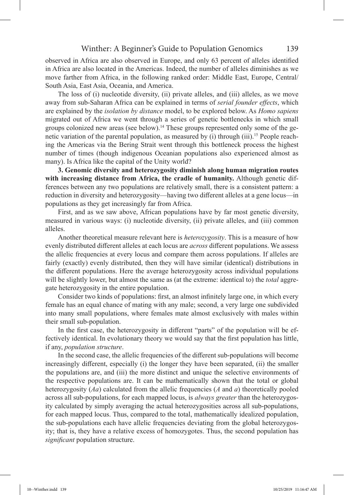observed in Africa are also observed in Europe, and only 63 percent of alleles identified in Africa are also located in the Americas. Indeed, the number of alleles diminishes as we move farther from Africa, in the following ranked order: Middle East, Europe, Central/ South Asia, East Asia, Oceania, and America.

The loss of (i) nucleotide diversity, (ii) private alleles, and (iii) alleles, as we move away from sub-Saharan Africa can be explained in terms of *serial founder effects*, which are explained by the *isolation by distance* model, to be explored below. As *Homo sapiens* migrated out of Africa we went through a series of genetic bottlenecks in which small groups colonized new areas (see below).14 These groups represented only some of the genetic variation of the parental population, as measured by (i) through (iii).<sup>15</sup> People reaching the Americas via the Bering Strait went through this bottleneck process the highest number of times (though indigenous Oceanian populations also experienced almost as many). Is Africa like the capital of the Unity world?

**3. Genomic diversity and heterozygosity diminish along human migration routes with increasing distance from Africa, the cradle of humanity.** Although genetic differences between any two populations are relatively small, there is a consistent pattern: a reduction in diversity and heterozygosity—having two different alleles at a gene locus—in populations as they get increasingly far from Africa.

First, and as we saw above, African populations have by far most genetic diversity, measured in various ways: (i) nucleotide diversity, (ii) private alleles, and (iii) common alleles.

Another theoretical measure relevant here is *heterozygosity*. This is a measure of how evenly distributed different alleles at each locus are *across* different populations. We assess the allelic frequencies at every locus and compare them across populations. If alleles are fairly (exactly) evenly distributed, then they will have similar (identical) distributions in the different populations. Here the average heterozygosity across individual populations will be slightly lower, but almost the same as (at the extreme: identical to) the *total* aggregate heterozygosity in the entire population.

Consider two kinds of populations: first, an almost infinitely large one, in which every female has an equal chance of mating with any male; second, a very large one subdivided into many small populations, where females mate almost exclusively with males within their small sub-population.

In the first case, the heterozygosity in different "parts" of the population will be effectively identical. In evolutionary theory we would say that the first population has little, if any, *population structure*.

In the second case, the allelic frequencies of the different sub-populations will become increasingly different, especially (i) the longer they have been separated, (ii) the smaller the populations are, and (iii) the more distinct and unique the selective environments of the respective populations are. It can be mathematically shown that the total or global heterozygosity (*Aa*) calculated from the allelic frequencies (*A* and *a*) theoretically pooled across all sub-populations, for each mapped locus, is *always greater* than the heterozygosity calculated by simply averaging the actual heterozygosities across all sub-populations, for each mapped locus. Thus, compared to the total, mathematically idealized population, the sub-populations each have allelic frequencies deviating from the global heterozygosity; that is, they have a relative excess of homozygotes. Thus, the second population has *significant* population structure.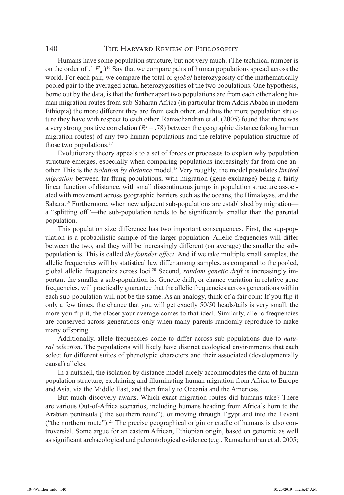Humans have some population structure, but not very much. (The technical number is on the order of .1  $F_{n}$ .)<sup>16</sup> Say that we compare pairs of human populations spread across the world. For each pair, we compare the total or *global* heterozygosity of the mathematically pooled pair to the averaged actual heterozygosities of the two populations. One hypothesis, borne out by the data, is that the further apart two populations are from each other along human migration routes from sub-Saharan Africa (in particular from Addis Ababa in modern Ethiopia) the more different they are from each other, and thus the more population structure they have with respect to each other. Ramachandran et al. (2005) found that there was a very strong positive correlation  $(R^2 = .78)$  between the geographic distance (along human migration routes) of any two human populations and the relative population structure of those two populations.<sup>17</sup>

Evolutionary theory appeals to a set of forces or processes to explain why population structure emerges, especially when comparing populations increasingly far from one another. This is the *isolation by distance* model.18 Very roughly, the model postulates *limited migration* between far-flung populations, with migration (gene exchange) being a fairly linear function of distance, with small discontinuous jumps in population structure associated with movement across geographic barriers such as the oceans, the Himalayas, and the Sahara.<sup>19</sup> Furthermore, when new adjacent sub-populations are established by migration a "splitting off"—the sub-population tends to be significantly smaller than the parental population.

This population size difference has two important consequences. First, the sup-population is a probabilistic sample of the larger population. Allelic frequencies will differ between the two, and they will be increasingly different (on average) the smaller the subpopulation is. This is called *the founder effect*. And if we take multiple small samples, the allelic frequencies will by statistical law differ among samples, as compared to the pooled, global allelic frequencies across loci.20 Second, *random genetic drift* is increasingly important the smaller a sub-population is. Genetic drift, or chance variation in relative gene frequencies, will practically guarantee that the allelic frequencies across generations within each sub-population will not be the same. As an analogy, think of a fair coin: If you flip it only a few times, the chance that you will get exactly 50/50 heads/tails is very small; the more you flip it, the closer your average comes to that ideal. Similarly, allelic frequencies are conserved across generations only when many parents randomly reproduce to make many offspring.

Additionally, allele frequencies come to differ across sub-populations due to *natural selection*. The populations will likely have distinct ecological environments that each select for different suites of phenotypic characters and their associated (developmentally causal) alleles.

In a nutshell, the isolation by distance model nicely accommodates the data of human population structure, explaining and illuminating human migration from Africa to Europe and Asia, via the Middle East, and then finally to Oceania and the Americas.

But much discovery awaits. Which exact migration routes did humans take? There are various Out-of-Africa scenarios, including humans heading from Africa's horn to the Arabian peninsula ("the southern route"), or moving through Egypt and into the Levant ("the northern route").<sup>21</sup> The precise geographical origin or cradle of humans is also controversial. Some argue for an eastern African, Ethiopian origin, based on genomic as well as significant archaeological and paleontological evidence (e.g., Ramachandran et al. 2005;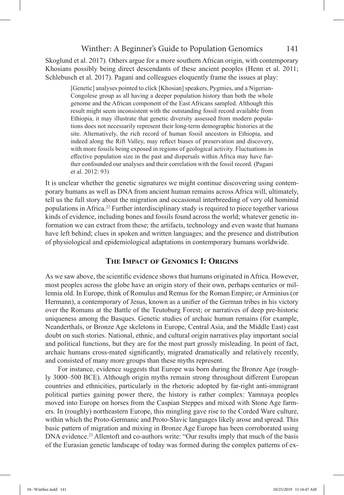## Winther: A Beginner's Guide to Population Genomics 141

Skoglund et al. 2017). Others argue for a more southern African origin, with contemporary Khosians possibly being direct descendants of these ancient peoples (Henn et al. 2011; Schlebusch et al. 2017). Pagani and colleagues eloquently frame the issues at play:

[Genetic] analyses pointed to click [Khosian] speakers, Pygmies, and a Nigerian-Congolese group as all having a deeper population history than both the whole genome and the African component of the East Africans sampled. Although this result might seem inconsistent with the outstanding fossil record available from Ethiopia, it may illustrate that genetic diversity assessed from modern populations does not necessarily represent their long-term demographic histories at the site. Alternatively, the rich record of human fossil ancestors in Ethiopia, and indeed along the Rift Valley, may reflect biases of preservation and discovery, with more fossils being exposed in regions of geological activity. Fluctuations in effective population size in the past and dispersals within Africa may have further confounded our analyses and their correlation with the fossil record. (Pagani et al. 2012: 93)

It is unclear whether the genetic signatures we might continue discovering using contemporary humans as well as DNA from ancient human remains across Africa will, ultimately, tell us the full story about the migration and occasional interbreeding of very old hominid populations in Africa.<sup>22</sup> Further interdisciplinary study is required to piece together various kinds of evidence, including bones and fossils found across the world; whatever genetic information we can extract from these; the artifacts, technology and even waste that humans have left behind; clues in spoken and written languages; and the presence and distribution of physiological and epidemiological adaptations in contemporary humans worldwide.

# **The Impact of Genomics I: Origins**

As we saw above, the scientific evidence shows that humans originated in Africa. However, most peoples across the globe have an origin story of their own, perhaps centuries or millennia old. In Europe, think of Romulus and Remus for the Roman Empire; or Arminius (or Hermann), a contemporary of Jesus, known as a unifier of the German tribes in his victory over the Romans at the Battle of the Teutoburg Forest; or narratives of deep pre-historic uniqueness among the Basques. Genetic studies of archaic human remains (for example, Neanderthals, or Bronze Age skeletons in Europe, Central Asia, and the Middle East) cast doubt on such stories. National, ethnic, and cultural origin narratives play important social and political functions, but they are for the most part grossly misleading. In point of fact, archaic humans cross-mated significantly, migrated dramatically and relatively recently, and consisted of many more groups than these myths represent.

For instance, evidence suggests that Europe was born during the Bronze Age (roughly 3000–500 BCE). Although origin myths remain strong throughout different European countries and ethnicities, particularly in the rhetoric adopted by far-right anti-immigrant political parties gaining power there, the history is rather complex: Yamnaya peoples moved into Europe on horses from the Caspian Steppes and mixed with Stone Age farmers. In (roughly) northeastern Europe, this mingling gave rise to the Corded Ware culture, within which the Proto-Germanic and Proto-Slavic languages likely arose and spread. This basic pattern of migration and mixing in Bronze Age Europe has been corroborated using DNA evidence.<sup>23</sup> Allentoft and co-authors write: "Our results imply that much of the basis of the Eurasian genetic landscape of today was formed during the complex patterns of ex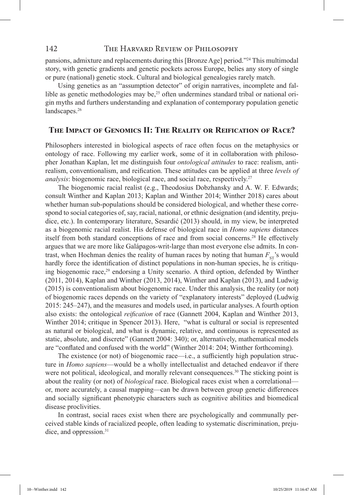pansions, admixture and replacements during this [Bronze Age] period."24 This multimodal story, with genetic gradients and genetic pockets across Europe, belies any story of single or pure (national) genetic stock. Cultural and biological genealogies rarely match.

Using genetics as an "assumption detector" of origin narratives, incomplete and fallible as genetic methodologies may be, $25$  often undermines standard tribal or national origin myths and furthers understanding and explanation of contemporary population genetic landscapes.26

#### **The Impact of Genomics II: The Reality or Reification of Race?**

Philosophers interested in biological aspects of race often focus on the metaphysics or ontology of race. Following my earlier work, some of it in collaboration with philosopher Jonathan Kaplan, let me distinguish four *ontological attitudes* to race: realism, antirealism, conventionalism, and reification. These attitudes can be applied at three *levels of analysis*: biogenomic race, biological race, and social race, respectively. 27

The biogenomic racial realist (e.g., Theodosius Dobzhansky and A. W. F. Edwards; consult Winther and Kaplan 2013; Kaplan and Winther 2014; Winther 2018) cares about whether human sub-populations should be considered biological, and whether these correspond to social categories of, say, racial, national, or ethnic designation (and identity, prejudice, etc.). In contemporary literature, Sesardić (2013) should, in my view, be interpreted as a biogenomic racial realist. His defense of biological race in *Homo sapiens* distances itself from both standard conceptions of race and from social concerns.28 He effectively argues that we are more like Galápagos-writ-large than most everyone else admits. In contrast, when Hochman denies the reality of human races by noting that human  $F_{ST}$ 's would hardly force the identification of distinct populations in non-human species, he is critiquing biogenomic race,<sup>29</sup> endorsing a Unity scenario. A third option, defended by Winther (2011, 2014), Kaplan and Winther (2013, 2014), Winther and Kaplan (2013), and Ludwig (2015) is conventionalism about biogenomic race. Under this analysis, the reality (or not) of biogenomic races depends on the variety of "explanatory interests" deployed (Ludwig 2015: 245–247), and the measures and models used, in particular analyses. A fourth option also exists: the ontological *reification* of race (Gannett 2004, Kaplan and Winther 2013, Winther 2014; critique in Spencer 2013). Here, "what is cultural or social is represented as natural or biological, and what is dynamic, relative, and continuous is represented as static, absolute, and discrete" (Gannett 2004: 340); or, alternatively, mathematical models are "conflated and confused with the world" (Winther 2014: 204; Winther forthcoming).

The existence (or not) of biogenomic race—i.e., a sufficiently high population structure in *Homo sapiens*—would be a wholly intellectualist and detached endeavor if there were not political, ideological, and morally relevant consequences.<sup>30</sup> The sticking point is about the reality (or not) of *biological* race. Biological races exist when a correlational or, more accurately, a causal mapping—can be drawn between group genetic differences and socially significant phenotypic characters such as cognitive abilities and biomedical disease proclivities.

In contrast, social races exist when there are psychologically and communally perceived stable kinds of racialized people, often leading to systematic discrimination, prejudice, and oppression.<sup>31</sup>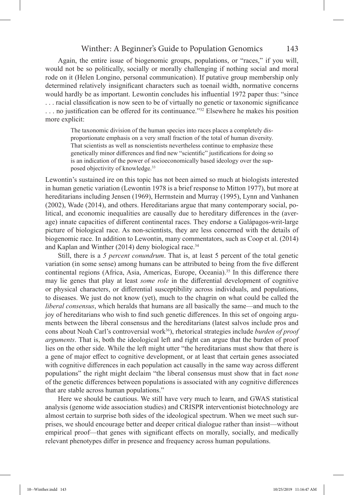Again, the entire issue of biogenomic groups, populations, or "races," if you will, would not be so politically, socially or morally challenging if nothing social and moral rode on it (Helen Longino, personal communication). If putative group membership only determined relatively insignificant characters such as toenail width, normative concerns would hardly be as important. Lewontin concludes his influential 1972 paper thus: "since . . . racial classification is now seen to be of virtually no genetic or taxonomic significance . . . no justification can be offered for its continuance."32 Elsewhere he makes his position more explicit:

The taxonomic division of the human species into races places a completely disproportionate emphasis on a very small fraction of the total of human diversity. That scientists as well as nonscientists nevertheless continue to emphasize these genetically minor differences and find new "scientific" justifications for doing so is an indication of the power of socioeconomically based ideology over the supposed objectivity of knowledge.33

Lewontin's sustained ire on this topic has not been aimed so much at biologists interested in human genetic variation (Lewontin 1978 is a brief response to Mitton 1977), but more at hereditarians including Jensen (1969), Herrnstein and Murray (1995), Lynn and Vanhanen (2002), Wade (2014), and others. Hereditarians argue that many contemporary social, political, and economic inequalities are causally due to hereditary differences in the (average) innate capacities of different continental races. They endorse a Galápagos-writ-large picture of biological race. As non-scientists, they are less concerned with the details of biogenomic race. In addition to Lewontin, many commentators, such as Coop et al. (2014) and Kaplan and Winther (2014) deny biological race.<sup>34</sup>

Still, there is a *5 percent conundrum*. That is, at least 5 percent of the total genetic variation (in some sense) among humans can be attributed to being from the five different continental regions (Africa, Asia, Americas, Europe, Oceania).<sup>35</sup> In this difference there may lie genes that play at least *some role* in the differential development of cognitive or physical characters, or differential susceptibility across individuals, and populations, to diseases. We just do not know (yet), much to the chagrin on what could be called the *liberal consensus*, which heralds that humans are all basically the same—and much to the joy of hereditarians who wish to find such genetic differences. In this set of ongoing arguments between the liberal consensus and the hereditarians (latest salvos include pros and cons about Noah Carl's controversial work<sup>36</sup>), rhetorical strategies include *burden of proof arguments*. That is, both the ideological left and right can argue that the burden of proof lies on the other side. While the left might utter "the hereditarians must show that there is a gene of major effect to cognitive development, or at least that certain genes associated with cognitive differences in each population act causally in the same way across different populations" the right might declaim "the liberal consensus must show that in fact *none*  of the genetic differences between populations is associated with any cognitive differences that are stable across human populations."

Here we should be cautious. We still have very much to learn, and GWAS statistical analysis (genome wide association studies) and CRISPR interventionist biotechnology are almost certain to surprise both sides of the ideological spectrum. When we meet such surprises, we should encourage better and deeper critical dialogue rather than insist—without empirical proof—that genes with significant effects on morally, socially, and medically relevant phenotypes differ in presence and frequency across human populations.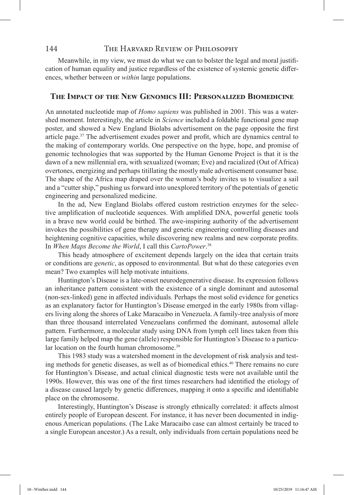Meanwhile, in my view, we must do what we can to bolster the legal and moral justification of human equality and justice regardless of the existence of systemic genetic differences, whether between or *within* large populations.

#### **The Impact of the New Genomics III: Personalized Biomedicine**

An annotated nucleotide map of *Homo sapiens* was published in 2001. This was a watershed moment. Interestingly, the article in *Science* included a foldable functional gene map poster, and showed a New England Biolabs advertisement on the page opposite the first article page.<sup>37</sup> The advertisement exudes power and profit, which are dynamics central to the making of contemporary worlds. One perspective on the hype, hope, and promise of genomic technologies that was supported by the Human Genome Project is that it is the dawn of a new millennial era, with sexualized (woman; Eve) and racialized (Out of Africa) overtones, energizing and perhaps titillating the mostly male advertisement consumer base. The shape of the Africa map draped over the woman's body invites us to visualize a sail and a "cutter ship," pushing us forward into unexplored territory of the potentials of genetic engineering and personalized medicine.

In the ad, New England Biolabs offered custom restriction enzymes for the selective amplification of nucleotide sequences. With amplified DNA, powerful genetic tools in a brave new world could be birthed. The awe-inspiring authority of the advertisement invokes the possibilities of gene therapy and genetic engineering controlling diseases and heightening cognitive capacities, while discovering new realms and new corporate profits. In *When Maps Become the World*, I call this *CartoPower*. 38

This heady atmosphere of excitement depends largely on the idea that certain traits or conditions are *genetic*, as opposed to environmental. But what do these categories even mean? Two examples will help motivate intuitions.

Huntington's Disease is a late-onset neurodegenerative disease. Its expression follows an inheritance pattern consistent with the existence of a single dominant and autosomal (non-sex-linked) gene in affected individuals. Perhaps the most solid evidence for genetics as an explanatory factor for Huntington's Disease emerged in the early 1980s from villagers living along the shores of Lake Maracaibo in Venezuela. A family-tree analysis of more than three thousand interrelated Venezuelans confirmed the dominant, autosomal allele pattern. Furthermore, a molecular study using DNA from lymph cell lines taken from this large family helped map the gene (allele) responsible for Huntington's Disease to a particular location on the fourth human chromosome.<sup>39</sup>

This 1983 study was a watershed moment in the development of risk analysis and testing methods for genetic diseases, as well as of biomedical ethics.<sup>40</sup> There remains no cure for Huntington's Disease, and actual clinical diagnostic tests were not available until the 1990s. However, this was one of the first times researchers had identified the etiology of a disease caused largely by genetic differences, mapping it onto a specific and identifiable place on the chromosome.

Interestingly, Huntington's Disease is strongly ethnically correlated: it affects almost entirely people of European descent. For instance, it has never been documented in indigenous American populations. (The Lake Maracaibo case can almost certainly be traced to a single European ancestor.) As a result, only individuals from certain populations need be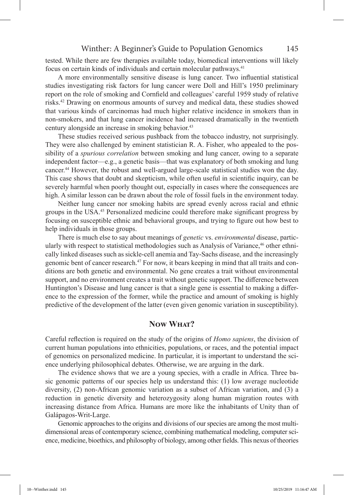tested. While there are few therapies available today, biomedical interventions will likely focus on certain kinds of individuals and certain molecular pathways.41

A more environmentally sensitive disease is lung cancer. Two influential statistical studies investigating risk factors for lung cancer were Doll and Hill's 1950 preliminary report on the role of smoking and Cornfield and colleagues' careful 1959 study of relative risks.42 Drawing on enormous amounts of survey and medical data, these studies showed that various kinds of carcinomas had much higher relative incidence in smokers than in non-smokers, and that lung cancer incidence had increased dramatically in the twentieth century alongside an increase in smoking behavior.<sup>43</sup>

These studies received serious pushback from the tobacco industry, not surprisingly. They were also challenged by eminent statistician R. A. Fisher, who appealed to the possibility of a *spurious correlation* between smoking and lung cancer, owing to a separate independent factor—e.g., a genetic basis—that was explanatory of both smoking and lung cancer.44 However, the robust and well-argued large-scale statistical studies won the day. This case shows that doubt and skepticism, while often useful in scientific inquiry, can be severely harmful when poorly thought out, especially in cases where the consequences are high. A similar lesson can be drawn about the role of fossil fuels in the environment today.

Neither lung cancer nor smoking habits are spread evenly across racial and ethnic groups in the USA.45 Personalized medicine could therefore make significant progress by focusing on susceptible ethnic and behavioral groups, and trying to figure out how best to help individuals in those groups.

There is much else to say about meanings of *genetic* vs. *environmental* disease, particularly with respect to statistical methodologies such as Analysis of Variance,<sup>46</sup> other ethnically linked diseases such as sickle-cell anemia and Tay-Sachs disease, and the increasingly genomic bent of cancer research.47 For now, it bears keeping in mind that all traits and conditions are both genetic and environmental. No gene creates a trait without environmental support, and no environment creates a trait without genetic support. The difference between Huntington's Disease and lung cancer is that a single gene is essential to making a difference to the expression of the former, while the practice and amount of smoking is highly predictive of the development of the latter (even given genomic variation in susceptibility).

# **Now What?**

Careful reflection is required on the study of the origins of *Homo sapiens*, the division of current human populations into ethnicities, populations, or races, and the potential impact of genomics on personalized medicine. In particular, it is important to understand the science underlying philosophical debates. Otherwise, we are arguing in the dark.

The evidence shows that we are a young species, with a cradle in Africa. Three basic genomic patterns of our species help us understand this: (1) low average nucleotide diversity, (2) non-African genomic variation as a subset of African variation, and (3) a reduction in genetic diversity and heterozygosity along human migration routes with increasing distance from Africa. Humans are more like the inhabitants of Unity than of Galápagos-Writ-Large.

Genomic approaches to the origins and divisions of our species are among the most multidimensional areas of contemporary science, combining mathematical modeling, computer science, medicine, bioethics, and philosophy of biology, among other fields. This nexus of theories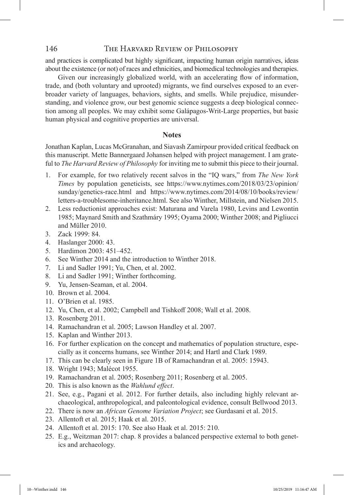and practices is complicated but highly significant, impacting human origin narratives, ideas about the existence (or not) of races and ethnicities, and biomedical technologies and therapies.

Given our increasingly globalized world, with an accelerating flow of information, trade, and (both voluntary and uprooted) migrants, we find ourselves exposed to an everbroader variety of languages, behaviors, sights, and smells. While prejudice, misunderstanding, and violence grow, our best genomic science suggests a deep biological connection among all peoples. We may exhibit some Galápagos-Writ-Large properties, but basic human physical and cognitive properties are universal.

#### **Notes**

Jonathan Kaplan, Lucas McGranahan, and Siavash Zamirpour provided critical feedback on this manuscript. Mette Bannergaard Johansen helped with project management. I am grateful to *The Harvard Review of Philosophy* for inviting me to submit this piece to their journal.

- 1. For example, for two relatively recent salvos in the "IQ wars," from *The New York Times* by population geneticists, see https://www.nytimes.com/2018/03/23/opinion/ sunday/genetics-race.html and https://www.nytimes.com/2014/08/10/books/review/ letters-a-troublesome-inheritance.html. See also Winther, Millstein, and Nielsen 2015.
- 2. Less reductionist approaches exist: Maturana and Varela 1980, Levins and Lewontin 1985; Maynard Smith and Szathmáry 1995; Oyama 2000; Winther 2008; and Pigliucci and Müller 2010.
- 3. Zack 1999: 84.
- 4. Haslanger 2000: 43.
- 5. Hardimon 2003: 451–452.
- 6. See Winther 2014 and the introduction to Winther 2018.
- 7. Li and Sadler 1991; Yu, Chen, et al. 2002.
- 8. Li and Sadler 1991; Winther forthcoming.
- 9. Yu, Jensen-Seaman, et al. 2004.
- 10. Brown et al. 2004.
- 11. O'Brien et al. 1985.
- 12. Yu, Chen, et al. 2002; Campbell and Tishkoff 2008; Wall et al. 2008.
- 13. Rosenberg 2011.
- 14. Ramachandran et al. 2005; Lawson Handley et al. 2007.
- 15. Kaplan and Winther 2013.
- 16. For further explication on the concept and mathematics of population structure, especially as it concerns humans, see Winther 2014; and Hartl and Clark 1989.
- 17. This can be clearly seen in Figure 1B of Ramachandran et al. 2005: 15943.
- 18. Wright 1943; Malécot 1955.
- 19. Ramachandran et al. 2005; Rosenberg 2011; Rosenberg et al. 2005.
- 20. This is also known as the *Wahlund effect*.
- 21. See, e.g., Pagani et al. 2012. For further details, also including highly relevant archaeological, anthropological, and paleontological evidence, consult Bellwood 2013.
- 22. There is now an *African Genome Variation Project*; see Gurdasani et al. 2015.
- 23. Allentoft et al. 2015; Haak et al. 2015.
- 24. Allentoft et al. 2015: 170. See also Haak et al. 2015: 210.
- 25. E.g., Weitzman 2017: chap. 8 provides a balanced perspective external to both genetics and archaeology.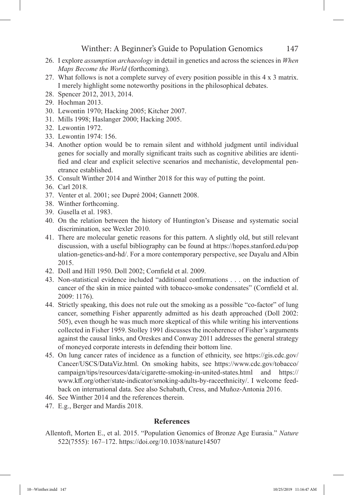- 26. I explore *assumption archaeology* in detail in genetics and across the sciences in *When Maps Become the World* (forthcoming).
- 27. What follows is not a complete survey of every position possible in this 4 x 3 matrix. I merely highlight some noteworthy positions in the philosophical debates.
- 28. Spencer 2012, 2013, 2014.
- 29. Hochman 2013.
- 30. Lewontin 1970; Hacking 2005; Kitcher 2007.
- 31. Mills 1998; Haslanger 2000; Hacking 2005.
- 32. Lewontin 1972.
- 33. Lewontin 1974: 156.
- 34. Another option would be to remain silent and withhold judgment until individual genes for socially and morally significant traits such as cognitive abilities are identified and clear and explicit selective scenarios and mechanistic, developmental penetrance established.
- 35. Consult Winther 2014 and Winther 2018 for this way of putting the point.
- 36. Carl 2018.
- 37. Venter et al. 2001; see Dupré 2004; Gannett 2008.
- 38. Winther forthcoming.
- 39. Gusella et al. 1983.
- 40. On the relation between the history of Huntington's Disease and systematic social discrimination, see Wexler 2010.
- 41. There are molecular genetic reasons for this pattern. A slightly old, but still relevant discussion, with a useful bibliography can be found at https://hopes.stanford.edu/pop ulation-genetics-and-hd/. For a more contemporary perspective, see Dayalu and Albin 2015.
- 42. Doll and Hill 1950. Doll 2002; Cornfield et al. 2009.
- 43. Non-statistical evidence included "additional confirmations . . . on the induction of cancer of the skin in mice painted with tobacco-smoke condensates" (Cornfield et al. 2009: 1176).
- 44. Strictly speaking, this does not rule out the smoking as a possible "co-factor" of lung cancer, something Fisher apparently admitted as his death approached (Doll 2002: 505), even though he was much more skeptical of this while writing his interventions collected in Fisher 1959. Stolley 1991 discusses the incoherence of Fisher's arguments against the causal links, and Oreskes and Conway 2011 addresses the general strategy of moneyed corporate interests in defending their bottom line.
- 45. On lung cancer rates of incidence as a function of ethnicity, see https://gis.cdc.gov/ Cancer/USCS/DataViz.html. On smoking habits, see https://www.cdc.gov/tobacco/ campaign/tips/resources/data/cigarette-smoking-in-united-states.html and https:// www.kff.org/other/state-indicator/smoking-adults-by-raceethnicity/. I welcome feedback on international data. See also Schabath, Cress, and Muñoz-Antonia 2016.
- 46. See Winther 2014 and the references therein.
- 47. E.g., Berger and Mardis 2018.

# **References**

Allentoft, Morten E., et al. 2015. "Population Genomics of Bronze Age Eurasia." *Nature* 522(7555): 167–172. https://doi.org/10.1038/nature14507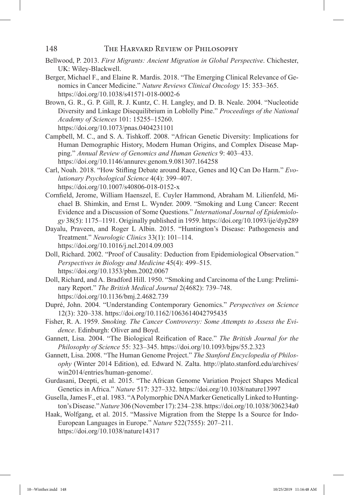- Bellwood, P. 2013. *First Migrants: Ancient Migration in Global Perspective*. Chichester, UK: Wiley-Blackwell.
- Berger, Michael F., and Elaine R. Mardis. 2018. "The Emerging Clinical Relevance of Genomics in Cancer Medicine." *Nature Reviews Clinical Oncology* 15: 353–365. https://doi.org/10.1038/s41571-018-0002-6
- Brown, G. R., G. P. Gill, R. J. Kuntz, C. H. Langley, and D. B. Neale. 2004. "Nucleotide Diversity and Linkage Disequilibrium in Loblolly Pine." *Proceedings of the National Academy of Sciences* 101: 15255–15260. https://doi.org/10.1073/pnas.0404231101
- Campbell, M. C., and S. A. Tishkoff. 2008. "African Genetic Diversity: Implications for Human Demographic History, Modern Human Origins, and Complex Disease Mapping." *Annual Review of Genomics and Human Genetics* 9: 403–433. https://doi.org/10.1146/annurev.genom.9.081307.164258
- Carl, Noah. 2018. "How Stifling Debate around Race, Genes and IQ Can Do Harm." *Evolutionary Psychological Science* 4(4): 399–407. https://doi.org/10.1007/s40806-018-0152-x
- Cornfield, Jerome, William Haenszel, E. Cuyler Hammond, Abraham M. Lilienfeld, Michael B. Shimkin, and Ernst L. Wynder. 2009. "Smoking and Lung Cancer: Recent Evidence and a Discussion of Some Questions." *International Journal of Epidemiology* 38(5): 1175–1191. Originally published in 1959. https://doi.org/10.1093/ije/dyp289
- Dayalu, Praveen, and Roger L Albin. 2015. "Huntington's Disease: Pathogenesis and Treatment." *Neurologic Clinics* 33(1): 101–114. https://doi.org/10.1016/j.ncl.2014.09.003
- Doll, Richard. 2002. "Proof of Causality: Deduction from Epidemiological Observation." *Perspectives in Biology and Medicine* 45(4): 499–515. https://doi.org/10.1353/pbm.2002.0067
- Doll, Richard, and A. Bradford Hill. 1950. "Smoking and Carcinoma of the Lung: Preliminary Report." *The British Medical Journal* 2(4682): 739–748. https://doi.org/10.1136/bmj.2.4682.739
- Dupré, John. 2004. "Understanding Contemporary Genomics." *Perspectives on Science* 12(3): 320–338. https://doi.org/10.1162/1063614042795435
- Fisher, R. A. 1959. *Smoking. The Cancer Controversy: Some Attempts to Assess the Evidence*. Edinburgh: Oliver and Boyd.
- Gannett, Lisa. 2004. "The Biological Reification of Race." *The British Journal for the Philosophy of Science* 55: 323–345. https://doi.org/10.1093/bjps/55.2.323
- Gannett, Lisa. 2008. "The Human Genome Project." *The Stanford Encyclopedia of Philosophy* (Winter 2014 Edition), ed. Edward N. Zalta. http://plato.stanford.edu/archives/ win2014/entries/human-genome/.
- Gurdasani, Deepti, et al. 2015. "The African Genome Variation Project Shapes Medical Genetics in Africa." *Nature* 517: 327–332. https://doi.org/10.1038/nature13997
- Gusella, James F., et al. 1983. "A Polymorphic DNA Marker Genetically Linked to Huntington's Disease." *Nature* 306 (November 17): 234–238. https://doi.org/10.1038/306234a0
- Haak, Wolfgang, et al. 2015. "Massive Migration from the Steppe Is a Source for Indo-European Languages in Europe." *Nature* 522(7555): 207–211. https://doi.org/10.1038/nature14317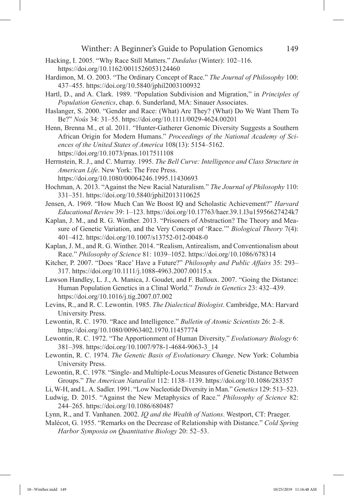- Hacking, I. 2005. "Why Race Still Matters." *Dædalus* (Winter): 102–116. https://doi.org/10.1162/0011526053124460
- Hardimon, M. O. 2003. "The Ordinary Concept of Race." *The Journal of Philosophy* 100: 437–455. https://doi.org/10.5840/jphil2003100932
- Hartl, D., and A. Clark. 1989. "Population Subdivision and Migration," in *Principles of Population Genetics*, chap. 6. Sunderland, MA: Sinauer Associates.
- Haslanger, S. 2000. "Gender and Race: (What) Are They? (What) Do We Want Them To Be?" *Noûs* 34: 31–55. https://doi.org/10.1111/0029-4624.00201
- Henn, Brenna M., et al. 2011. "Hunter-Gatherer Genomic Diversity Suggests a Southern African Origin for Modern Humans." *Proceedings of the National Academy of Sciences of the United States of America* 108(13): 5154–5162. https://doi.org/10.1073/pnas.1017511108
- Herrnstein, R. J., and C. Murray. 1995. *The Bell Curve: Intelligence and Class Structure in American Life*. New York: The Free Press. https://doi.org/10.1080/00064246.1995.11430693
- Hochman, A. 2013. "Against the New Racial Naturalism." *The Journal of Philosophy* 110: 331–351. https://doi.org/10.5840/jphil2013110625
- Jensen, A. 1969. "How Much Can We Boost IQ and Scholastic Achievement?" *Harvard Educational Review* 39: 1–123. https://doi.org/10.17763/haer.39.1.l3u15956627424k7
- Kaplan, J. M., and R. G. Winther. 2013. "Prisoners of Abstraction? The Theory and Measure of Genetic Variation, and the Very Concept of 'Race.'" *Biological Theory* 7(4): 401–412. https://doi.org/10.1007/s13752-012-0048-0
- Kaplan, J. M., and R. G. Winther. 2014. "Realism, Antirealism, and Conventionalism about Race." *Philosophy of Science* 81: 1039–1052. https://doi.org/10.1086/678314
- Kitcher, P. 2007. "Does 'Race' Have a Future?" *Philosophy and Public Affairs* 35: 293– 317. https://doi.org/10.1111/j.1088-4963.2007.00115.x
- Lawson Handley, L. J., A. Manica, J. Goudet, and F. Balloux. 2007. "Going the Distance: Human Population Genetics in a Clinal World." *Trends in Genetics* 23: 432–439. https://doi.org/10.1016/j.tig.2007.07.002
- Levins, R., and R. C. Lewontin. 1985. *The Dialectical Biologist*. Cambridge, MA: Harvard University Press.
- Lewontin, R. C. 1970. "Race and Intelligence." *Bulletin of Atomic Scientists* 26: 2–8. https://doi.org/10.1080/00963402.1970.11457774
- Lewontin, R. C. 1972. "The Apportionment of Human Diversity." *Evolutionary Biology* 6: 381–398. https://doi.org/10.1007/978-1-4684-9063-3\_14
- Lewontin, R. C. 1974. *The Genetic Basis of Evolutionary Change*. New York: Columbia University Press.
- Lewontin, R. C. 1978. "Single- and Multiple-Locus Measures of Genetic Distance Between Groups." *The American Naturalist* 112: 1138–1139. https://doi.org/10.1086/283357
- Li, W-H, and L. A. Sadler. 1991. "Low Nucleotide Diversity in Man." *Genetics* 129: 513–523.
- Ludwig, D. 2015. "Against the New Metaphysics of Race." *Philosophy of Science* 82: 244–265. https://doi.org/10.1086/680487
- Lynn, R., and T. Vanhanen. 2002. *IQ and the Wealth of Nations*. Westport, CT: Praeger.
- Malécot, G. 1955. "Remarks on the Decrease of Relationship with Distance." *Cold Spring Harbor Symposia on Quantitative Biology* 20: 52–53.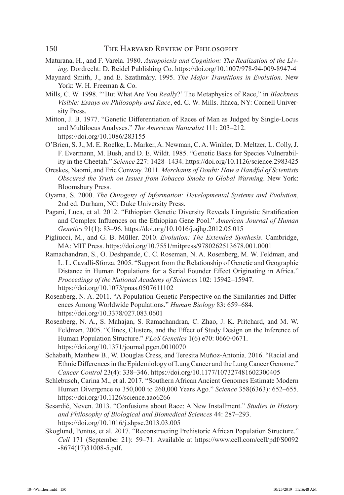- Maturana, H., and F. Varela. 1980. *Autopoiesis and Cognition: The Realization of the Living*. Dordrecht: D. Reidel Publishing Co. https://doi.org/10.1007/978-94-009-8947-4
- Maynard Smith, J., and E. Szathmáry. 1995. *The Major Transitions in Evolution*. New York: W. H. Freeman & Co.
- Mills, C. W. 1998. "'But What Are You *Really*?' The Metaphysics of Race," in *Blackness Visible: Essays on Philosophy and Race*, ed. C. W. Mills. Ithaca, NY: Cornell University Press.
- Mitton, J. B. 1977. "Genetic Differentiation of Races of Man as Judged by Single-Locus and Multilocus Analyses." *The American Naturalist* 111: 203–212. https://doi.org/10.1086/283155
- O'Brien, S. J., M. E. Roelke, L. Marker, A. Newman, C. A. Winkler, D. Meltzer, L. Colly, J. F. Evermann, M. Bush, and D. E. Wildt. 1985. "Genetic Basis for Species Vulnerability in the Cheetah." *Science* 227: 1428–1434. https://doi.org/10.1126/science.2983425
- Oreskes, Naomi, and Eric Conway. 2011. *Merchants of Doubt: How a Handful of Scientists Obscured the Truth on Issues from Tobacco Smoke to Global Warming*. New York: Bloomsbury Press.
- Oyama, S. 2000. *The Ontogeny of Information: Developmental Systems and Evolution*, 2nd ed. Durham, NC: Duke University Press.
- Pagani, Luca, et al. 2012. "Ethiopian Genetic Diversity Reveals Linguistic Stratification and Complex Influences on the Ethiopian Gene Pool." *American Journal of Human Genetics* 91(1): 83–96. https://doi.org/10.1016/j.ajhg.2012.05.015
- Pigliucci, M., and G. B. Müller. 2010. *Evolution: The Extended Synthesis*. Cambridge, MA: MIT Press. https://doi.org/10.7551/mitpress/9780262513678.001.0001
- Ramachandran, S., O. Deshpande, C. C. Roseman, N. A. Rosenberg, M. W. Feldman, and L. L. Cavalli-Sforza. 2005. "Support from the Relationship of Genetic and Geographic Distance in Human Populations for a Serial Founder Effect Originating in Africa." *Proceedings of the National Academy of Sciences* 102: 15942–15947. https://doi.org/10.1073/pnas.0507611102
- Rosenberg, N. A. 2011. "A Population-Genetic Perspective on the Similarities and Differences Among Worldwide Populations." *Human Biology* 83: 659–684. https://doi.org/10.3378/027.083.0601
- Rosenberg, N. A., S. Mahajan, S. Ramachandran, C. Zhao, J. K. Pritchard, and M. W. Feldman. 2005. "Clines, Clusters, and the Effect of Study Design on the Inference of Human Population Structure." *PLoS Genetics* 1(6) e70: 0660-0671. https://doi.org/10.1371/journal.pgen.0010070
- Schabath, Matthew B., W. Douglas Cress, and Teresita Muñoz-Antonia. 2016. "Racial and Ethnic Differences in the Epidemiology of Lung Cancer and the Lung Cancer Genome." *Cancer Control* 23(4): 338–346. https://doi.org/10.1177/107327481602300405
- Schlebusch, Carina M., et al. 2017. "Southern African Ancient Genomes Estimate Modern Human Divergence to 350,000 to 260,000 Years Ago." *Science* 358(6363): 652–655. https://doi.org/10.1126/science.aao6266
- Sesardić, Neven. 2013. "Confusions about Race: A New Installment." *Studies in History and Philosophy of Biological and Biomedical Sciences* 44: 287–293. https://doi.org/10.1016/j.shpsc.2013.03.005
- Skoglund, Pontus, et al. 2017. "Reconstructing Prehistoric African Population Structure." *Cell* 171 (September 21): 59–71. Available at https://www.cell.com/cell/pdf/S0092 -8674(17)31008-5.pdf.